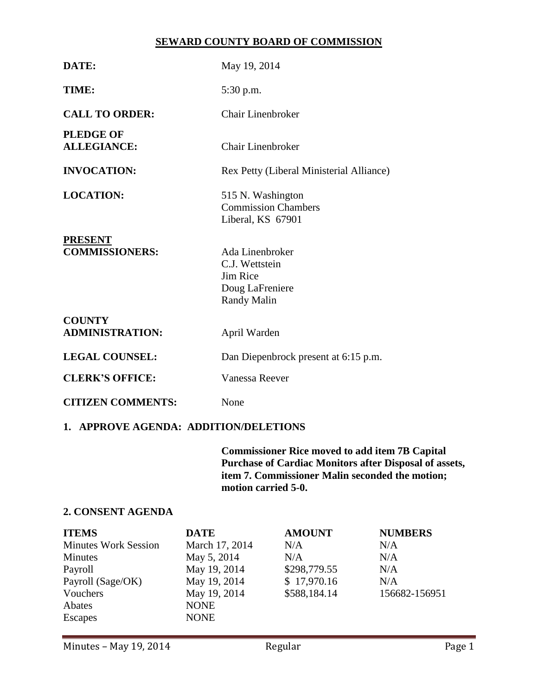## **SEWARD COUNTY BOARD OF COMMISSION**

| DATE:                                   | May 19, 2014                                                                           |  |  |
|-----------------------------------------|----------------------------------------------------------------------------------------|--|--|
| TIME:                                   | 5:30 p.m.                                                                              |  |  |
| <b>CALL TO ORDER:</b>                   | Chair Linenbroker                                                                      |  |  |
| <b>PLEDGE OF</b><br><b>ALLEGIANCE:</b>  | Chair Linenbroker                                                                      |  |  |
| <b>INVOCATION:</b>                      | Rex Petty (Liberal Ministerial Alliance)                                               |  |  |
| <b>LOCATION:</b>                        | 515 N. Washington<br><b>Commission Chambers</b><br>Liberal, KS 67901                   |  |  |
| <b>PRESENT</b><br><b>COMMISSIONERS:</b> | Ada Linenbroker<br>C.J. Wettstein<br>Jim Rice<br>Doug LaFreniere<br><b>Randy Malin</b> |  |  |
| <b>COUNTY</b><br><b>ADMINISTRATION:</b> | April Warden                                                                           |  |  |
| <b>LEGAL COUNSEL:</b>                   | Dan Diepenbrock present at 6:15 p.m.                                                   |  |  |
| <b>CLERK'S OFFICE:</b>                  | Vanessa Reever                                                                         |  |  |
| <b>CITIZEN COMMENTS:</b>                | None                                                                                   |  |  |

# **1. APPROVE AGENDA: ADDITION/DELETIONS**

**Commissioner Rice moved to add item 7B Capital Purchase of Cardiac Monitors after Disposal of assets, item 7. Commissioner Malin seconded the motion; motion carried 5-0.**

### **2. CONSENT AGENDA**

| <b>ITEMS</b>                | <b>DATE</b>    | <b>AMOUNT</b> | <b>NUMBERS</b> |
|-----------------------------|----------------|---------------|----------------|
| <b>Minutes Work Session</b> | March 17, 2014 | N/A           | N/A            |
| <b>Minutes</b>              | May 5, 2014    | N/A           | N/A            |
| Payroll                     | May 19, 2014   | \$298,779.55  | N/A            |
| Payroll (Sage/OK)           | May 19, 2014   | \$17,970.16   | N/A            |
| Vouchers                    | May 19, 2014   | \$588,184.14  | 156682-156951  |
| Abates                      | <b>NONE</b>    |               |                |
| Escapes                     | <b>NONE</b>    |               |                |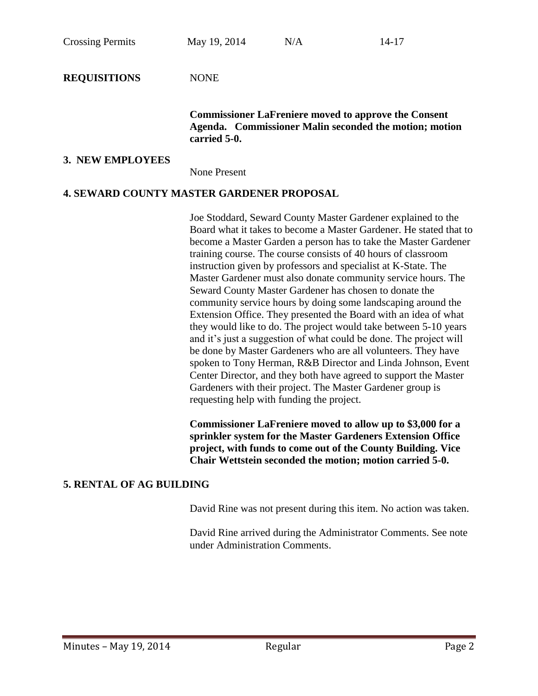Crossing Permits May  $19, 2014$  N/A  $14-17$ **REQUISITIONS** NONE **Commissioner LaFreniere moved to approve the Consent Agenda. Commissioner Malin seconded the motion; motion carried 5-0. 3. NEW EMPLOYEES** None Present

## **4. SEWARD COUNTY MASTER GARDENER PROPOSAL**

Joe Stoddard, Seward County Master Gardener explained to the Board what it takes to become a Master Gardener. He stated that to become a Master Garden a person has to take the Master Gardener training course. The course consists of 40 hours of classroom instruction given by professors and specialist at K-State. The Master Gardener must also donate community service hours. The Seward County Master Gardener has chosen to donate the community service hours by doing some landscaping around the Extension Office. They presented the Board with an idea of what they would like to do. The project would take between 5-10 years and it's just a suggestion of what could be done. The project will be done by Master Gardeners who are all volunteers. They have spoken to Tony Herman, R&B Director and Linda Johnson, Event Center Director, and they both have agreed to support the Master Gardeners with their project. The Master Gardener group is requesting help with funding the project.

**Commissioner LaFreniere moved to allow up to \$3,000 for a sprinkler system for the Master Gardeners Extension Office project, with funds to come out of the County Building. Vice Chair Wettstein seconded the motion; motion carried 5-0.**

### **5. RENTAL OF AG BUILDING**

David Rine was not present during this item. No action was taken.

David Rine arrived during the Administrator Comments. See note under Administration Comments.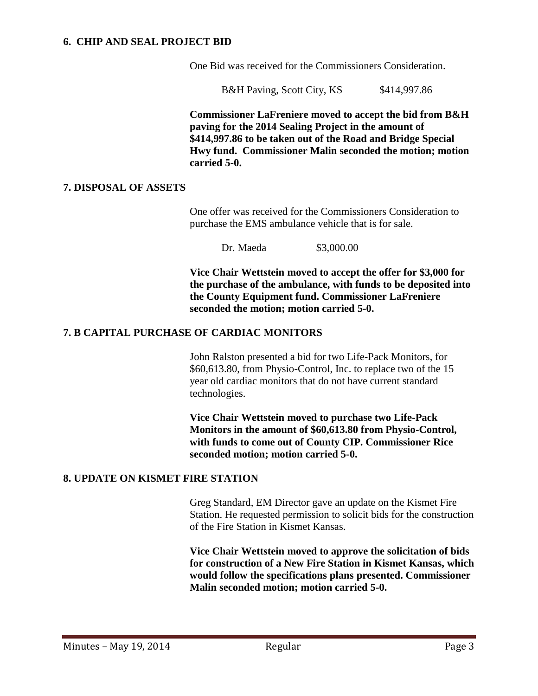## **6. CHIP AND SEAL PROJECT BID**

One Bid was received for the Commissioners Consideration.

B&H Paving, Scott City, KS \$414,997.86

**Commissioner LaFreniere moved to accept the bid from B&H paving for the 2014 Sealing Project in the amount of \$414,997.86 to be taken out of the Road and Bridge Special Hwy fund. Commissioner Malin seconded the motion; motion carried 5-0.** 

### **7. DISPOSAL OF ASSETS**

One offer was received for the Commissioners Consideration to purchase the EMS ambulance vehicle that is for sale.

Dr. Maeda \$3,000.00

**Vice Chair Wettstein moved to accept the offer for \$3,000 for the purchase of the ambulance, with funds to be deposited into the County Equipment fund. Commissioner LaFreniere seconded the motion; motion carried 5-0.**

## **7. B CAPITAL PURCHASE OF CARDIAC MONITORS**

John Ralston presented a bid for two Life-Pack Monitors, for \$60,613.80, from Physio-Control, Inc. to replace two of the 15 year old cardiac monitors that do not have current standard technologies.

**Vice Chair Wettstein moved to purchase two Life-Pack Monitors in the amount of \$60,613.80 from Physio-Control, with funds to come out of County CIP. Commissioner Rice seconded motion; motion carried 5-0.**

## **8. UPDATE ON KISMET FIRE STATION**

Greg Standard, EM Director gave an update on the Kismet Fire Station. He requested permission to solicit bids for the construction of the Fire Station in Kismet Kansas.

**Vice Chair Wettstein moved to approve the solicitation of bids for construction of a New Fire Station in Kismet Kansas, which would follow the specifications plans presented. Commissioner Malin seconded motion; motion carried 5-0.**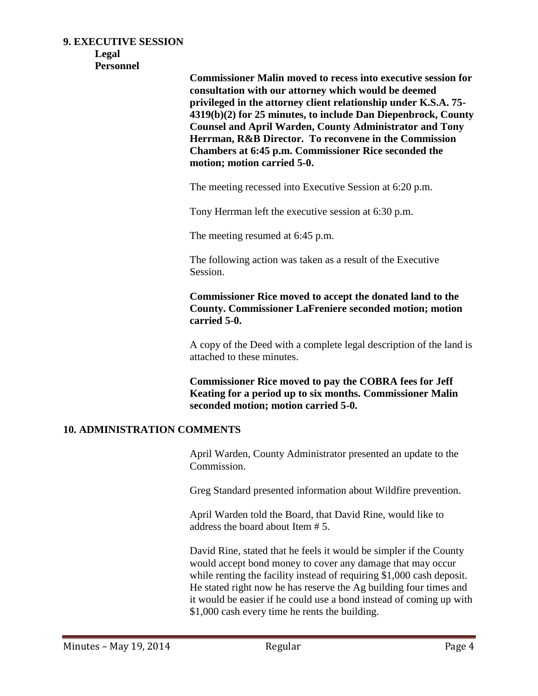#### **9. EXECUTIVE SESSION**

**Legal**

**Personnel**

**Commissioner Malin moved to recess into executive session for consultation with our attorney which would be deemed privileged in the attorney client relationship under K.S.A. 75- 4319(b)(2) for 25 minutes, to include Dan Diepenbrock, County Counsel and April Warden, County Administrator and Tony Herrman, R&B Director. To reconvene in the Commission Chambers at 6:45 p.m. Commissioner Rice seconded the motion; motion carried 5-0.**

The meeting recessed into Executive Session at 6:20 p.m.

Tony Herrman left the executive session at 6:30 p.m.

The meeting resumed at 6:45 p.m.

The following action was taken as a result of the Executive Session.

**Commissioner Rice moved to accept the donated land to the County. Commissioner LaFreniere seconded motion; motion carried 5-0.** 

A copy of the Deed with a complete legal description of the land is attached to these minutes.

**Commissioner Rice moved to pay the COBRA fees for Jeff Keating for a period up to six months. Commissioner Malin seconded motion; motion carried 5-0.**

### **10. ADMINISTRATION COMMENTS**

April Warden, County Administrator presented an update to the Commission.

Greg Standard presented information about Wildfire prevention.

April Warden told the Board, that David Rine, would like to address the board about Item # 5.

David Rine, stated that he feels it would be simpler if the County would accept bond money to cover any damage that may occur while renting the facility instead of requiring \$1,000 cash deposit. He stated right now he has reserve the Ag building four times and it would be easier if he could use a bond instead of coming up with \$1,000 cash every time he rents the building.